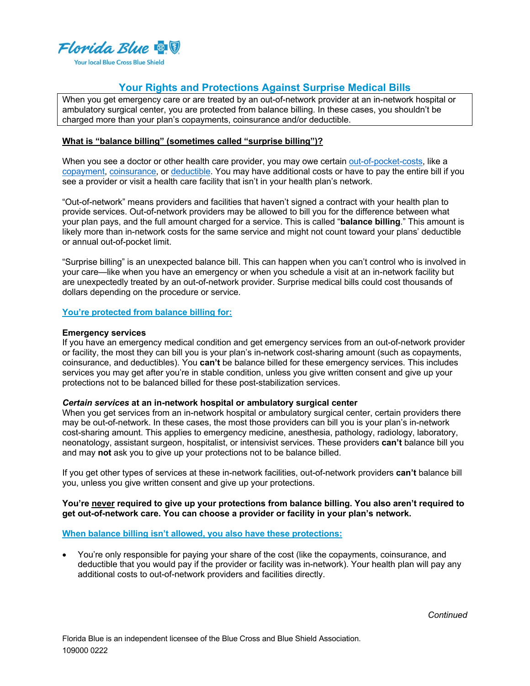

# **Your Rights and Protections Against Surprise Medical Bills**

When you get emergency care or are treated by an out-of-network provider at an in-network hospital or ambulatory surgical center, you are protected from balance billing. In these cases, you shouldn't be charged more than your plan's copayments, coinsurance and/or deductible.

# **What is "balance billing" (sometimes called "surprise billing")?**

When you see a doctor or other health care provider, you may owe certain out-of-pocket-costs, like a copayment, coinsurance, or deductible. You may have additional costs or have to pay the entire bill if you see a provider or visit a health care facility that isn't in your health plan's network.

"Out-of-network" means providers and facilities that haven't signed a contract with your health plan to provide services. Out-of-network providers may be allowed to bill you for the difference between what your plan pays, and the full amount charged for a service. This is called "**balance billing**." This amount is likely more than in-network costs for the same service and might not count toward your plans' deductible or annual out-of-pocket limit.

"Surprise billing" is an unexpected balance bill. This can happen when you can't control who is involved in your care—like when you have an emergency or when you schedule a visit at an in-network facility but are unexpectedly treated by an out-of-network provider. Surprise medical bills could cost thousands of dollars depending on the procedure or service.

## **You're protected from balance billing for:**

#### **Emergency services**

If you have an emergency medical condition and get emergency services from an out-of-network provider or facility, the most they can bill you is your plan's in-network cost-sharing amount (such as copayments, coinsurance, and deductibles). You **can't** be balance billed for these emergency services. This includes services you may get after you're in stable condition, unless you give written consent and give up your protections not to be balanced billed for these post-stabilization services.

### *Certain services* **at an in-network hospital or ambulatory surgical center**

When you get services from an in-network hospital or ambulatory surgical center, certain providers there may be out-of-network. In these cases, the most those providers can bill you is your plan's in-network cost-sharing amount. This applies to emergency medicine, anesthesia, pathology, radiology, laboratory, neonatology, assistant surgeon, hospitalist, or intensivist services. These providers **can't** balance bill you and may **not** ask you to give up your protections not to be balance billed.

If you get other types of services at these in-network facilities, out-of-network providers **can't** balance bill you, unless you give written consent and give up your protections.

#### **You're never required to give up your protections from balance billing. You also aren't required to get out-of-network care. You can choose a provider or facility in your plan's network.**

**When balance billing isn't allowed, you also have these protections:**

• You're only responsible for paying your share of the cost (like the copayments, coinsurance, and deductible that you would pay if the provider or facility was in-network). Your health plan will pay any additional costs to out-of-network providers and facilities directly.